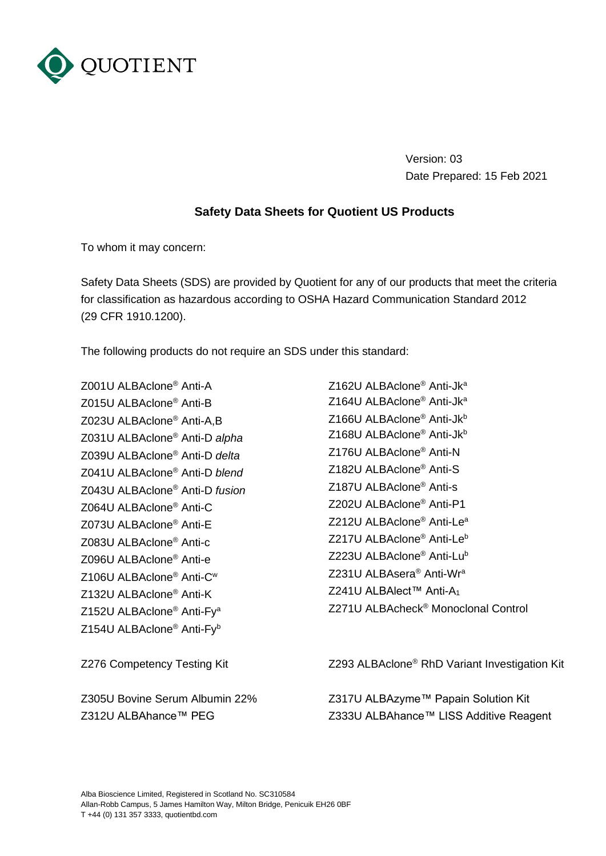

Version: 03 Date Prepared: 15 Feb 2021

## **Safety Data Sheets for Quotient US Products**

To whom it may concern:

Safety Data Sheets (SDS) are provided by Quotient for any of our products that meet the criteria for classification as hazardous according to OSHA Hazard Communication Standard 2012 (29 CFR 1910.1200).

The following products do not require an SDS under this standard:

Z001U ALBAclone® Anti-A Z015U ALBAclone® Anti-B Z023U ALBAclone® Anti-A,B Z031U ALBAclone® Anti-D *alpha* Z039U ALBAclone® Anti-D *delta* Z041U ALBAclone® Anti-D *blend* Z043U ALBAclone® Anti-D *fusion* Z064U ALBAclone® Anti-C Z073U ALBAclone® Anti-E Z083U ALBAclone® Anti-c Z096U ALBAclone® Anti-e Z106U ALBAclone® Anti-C<sup>w</sup> Z132U ALBAclone® Anti-K Z152U ALBAclone® Anti-Fy<sup>a</sup> Z154U ALBAclone® Anti-Fy<sup>b</sup>

Z305U Bovine Serum Albumin 22% Z312U ALBAhance™ PEG

Z162U ALBAclone® Anti-Jk<sup>a</sup> Z164U ALBAclone® Anti-Jk<sup>a</sup> Z166U ALBAclone<sup>®</sup> Anti-Jk<sup>b</sup> Z168U ALBAclone<sup>®</sup> Anti-Jk<sup>b</sup> Z176U ALBAclone® Anti-N Z182U ALBAclone® Anti-S Z187U ALBAclone® Anti-s Z202U ALBAclone® Anti-P1 Z212U ALBAclone® Anti-Le<sup>a</sup> Z217U ALBAclone® Anti-Le<sup>b</sup> Z223U ALBAclone® Anti-Lu<sup>b</sup> Z231U ALBAsera® Anti-Wr<sup>a</sup> Z241U ALBAlect™ Anti-A<sub>1</sub> Z271U ALBAcheck® Monoclonal Control

Z276 Competency Testing Kit Z293 ALBAclone<sup>®</sup> RhD Variant Investigation Kit

Z317U ALBAzyme™ Papain Solution Kit Z333U ALBAhance™ LISS Additive Reagent